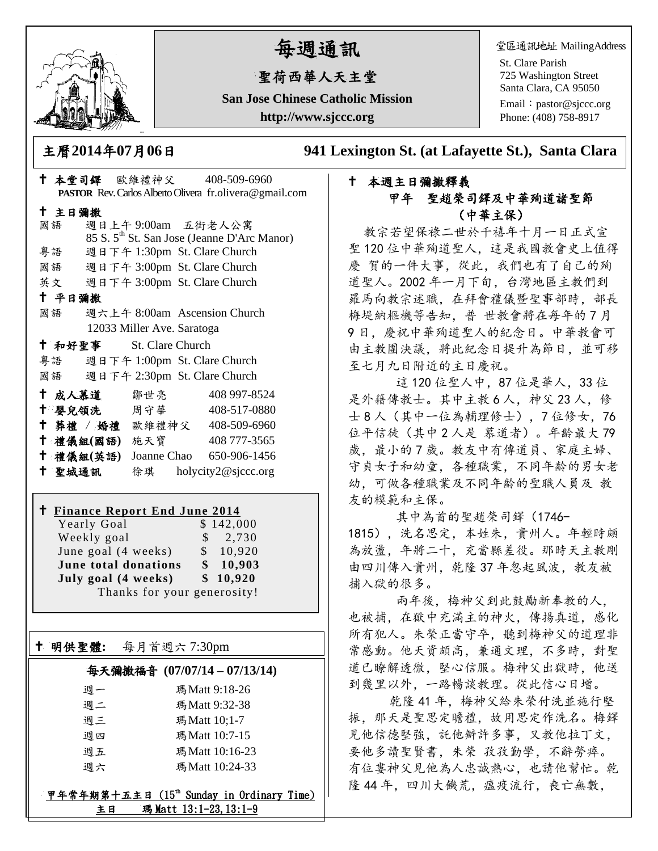

# 每週通訊

# 聖荷西華人天主堂

**San Jose Chinese Catholic Mission http://www.sjccc.org**

堂區通訊地址 MailingAddress

St. Clare Parish 725 Washington Street Santa Clara, CA 95050 Email: [pastor@sjccc.org](mailto:pastor@sjccc.org) Phone: (408) 758-8917

主曆**2014**年**07**月**06**日 **941 Lexington St. (at Lafayette St.), Santa Clara** 

## 本週主日彌撒釋義 甲年 聖趙榮司鐸及中華殉道諸聖節 (中華主保)

教宗若望保祿二世於千禧年十月一日正式宣 聖 120 位中華殉道聖人,這是我國教會史上值得 慶 賀的一件大事,從此,我們也有了自己的殉 道聖人。2002 年一月下旬,台灣地區主教們到 羅馬向教宗述職,在拜會禮儀暨聖事部時,部長 梅堤納樞機等告知, 普 世教會將在每年的7月 9 日,慶祝中華殉道聖人的紀念日。中華教會可 由主教團決議,將此紀念日提升為節日,並可移 至七月九日附近的主日慶祝。

這 120 位聖人中, 87 位是華人, 33 位 是外籍傳教士。其中主教 6 人, 神父 23 人, 修 士 8 人(其中一位為輔理修士),7 位修女,76 位平信徒(其中 2 人是 慕道者)。年齡最大 79 歲, 最小的7歲。教友中有傳道員、家庭主婦、 守貞女子和幼童,各種職業,不同年齡的男女老 幼,可做各種職業及不同年齡的聖職人員及 教 友的模範和主保。

其中為首的聖趙榮司鐸(1746-

1815),洗名思定,本姓朱,貴州人。年輕時頗 為放盪,年將二十,充當縣差役。那時天主教剛 由四川傳入貴州,乾隆 37 年忽起風波,教友被 捕入獄的很多。

 兩年後,梅神父到此鼓勵新奉教的人, 也被捕,在獄中充滿主的神火,傳揚真道,感化 所有犯人。朱榮正當守卒,聽到梅神父的道理非 常感動。他天資頗高,兼通文理,不多時,對聖 道已瞭解透徹,堅心信服。梅神父出獄時,他送 到幾里以外,一路暢談教理。從此信心日增。

 乾隆 41 年,梅神父給朱榮付洗並施行堅 振,那天是聖思定瞻禮,故用思定作洗名。梅鐸 見他信德堅強,託他辦許多事,又教他拉丁文, 要他多讀聖賢書,朱榮 孜孜勤學,不辭勞瘁。 有位婁神父見他為人忠誠熱心,也請他幫忙。乾 隆44年,四川大饑荒,瘟疫流行,喪亡無數,

|        |        |               |                            |  | <b>PASTOR</b> Rev. Carlos Alberto Olivera fr.olivera@gmail.com |  |
|--------|--------|---------------|----------------------------|--|----------------------------------------------------------------|--|
|        | 十 主日彌撒 |               |                            |  |                                                                |  |
|        | 國語     |               |                            |  | 週日上午9:00am 五街老人公寓                                              |  |
|        |        |               |                            |  | 85 S. 5 <sup>th</sup> St. San Jose (Jeanne D'Arc Manor)        |  |
|        | 粤語     |               |                            |  | 週日下午 1:30pm St. Clare Church                                   |  |
|        |        |               |                            |  | 國語 週日下午 3:00pm St. Clare Church                                |  |
|        |        |               |                            |  | 英文 週日下午 3:00pm St. Clare Church                                |  |
| 十 平日彌撒 |        |               |                            |  |                                                                |  |
|        | 國語     |               |                            |  | 週六上午 8:00am Ascension Church                                   |  |
|        |        |               | 12033 Miller Ave. Saratoga |  |                                                                |  |
|        |        | 十 和好聖事        | St. Clare Church           |  |                                                                |  |
|        |        |               |                            |  | 粤語 週日下午 1:00pm St. Clare Church                                |  |
|        |        |               |                            |  | 國語 週日下午 2:30pm St. Clare Church                                |  |
|        |        | 十 成人慕道        | 鄒世亮                        |  | 408 997-8524                                                   |  |
|        |        | † 嬰兒領洗──周守華── |                            |  | 408-517-0880                                                   |  |
|        |        |               |                            |  | † 葬禮 / 婚禮 歐維禮神父 408-509-6960                                   |  |
|        |        | 十 禮儀組(國語) 施天寶 |                            |  | 408 777-3565                                                   |  |
|        |        |               |                            |  | † 禮儀組(英語) Joanne Chao 650-906-1456                             |  |
|        | 十 聖城通訊 |               |                            |  | 徐琪 holycity2@sjccc.org                                         |  |
|        |        |               |                            |  |                                                                |  |

 $\frac{100}{100}$   $\frac{100}{100}$   $\frac{100}{100}$   $\frac{100}{100}$ 

# **Finance Report End June 2014**

Yearly Goal \$142,000 Weekly goal \$ 2,730 June goal  $(4 \text{ weeks})$  \$ 10,920 **June total donations \$ 10,903 July goal (4 weeks) \$ 10,920** Thanks for your generosity!

明供聖體**:** 每月首週六 7:30pm

Ξ

## 每天彌撒福音 **(07/07/14 – 07/13/14)**

| 调一 | 瑪 Matt 9:18-26 |
|----|----------------|
| 週二 | 瑪 Matt 9:32-38 |
| 调三 | 瑪Matt 10;1-7   |
| 週四 | 瑪 Matt 10:7-15 |
| 週五 | 瑪Matt 10:16-23 |
| 调六 | 瑪Matt 10:24-33 |

甲年常年期第十五主日 (15th Sunday in Ordinary Time) 主日 瑪 Matt 13:1-23, 13:1-9